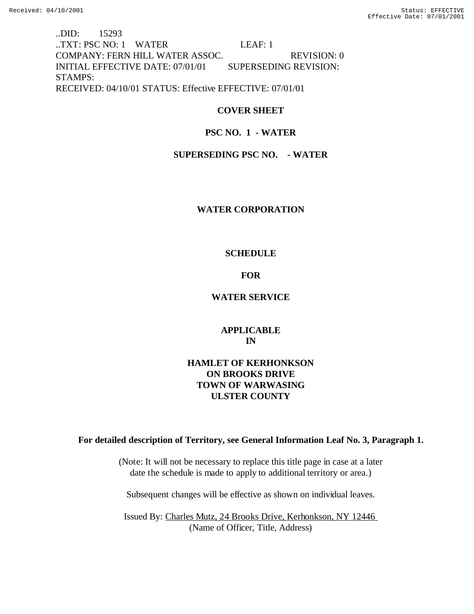..DID: 15293 ..TXT: PSC NO: 1 WATER LEAF: 1 COMPANY: FERN HILL WATER ASSOC. REVISION: 0 INITIAL EFFECTIVE DATE: 07/01/01 SUPERSEDING REVISION: STAMPS: RECEIVED: 04/10/01 STATUS: Effective EFFECTIVE: 07/01/01

## **COVER SHEET**

## **PSC NO. 1 - WATER**

## **SUPERSEDING PSC NO. - WATER**

## **WATER CORPORATION**

## **SCHEDULE**

## **FOR**

## **WATER SERVICE**

## **APPLICABLE IN**

## **HAMLET OF KERHONKSON ON BROOKS DRIVE TOWN OF WARWASING ULSTER COUNTY**

## **For detailed description of Territory, see General Information Leaf No. 3, Paragraph 1.**

(Note: It will not be necessary to replace this title page in case at a later date the schedule is made to apply to additional territory or area.)

Subsequent changes will be effective as shown on individual leaves.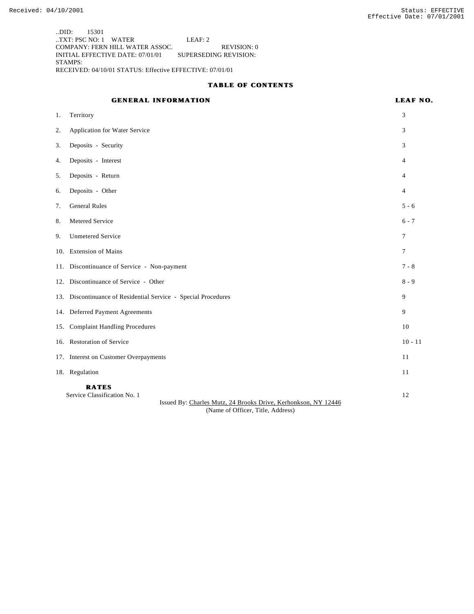..DID: 15301 ..TXT: PSC NO: 1 WATER LEAF: 2 COMPANY: FERN HILL WATER ASSOC. REVISION: 0 INITIAL EFFECTIVE DATE: 07/01/01 SUPERSEDING REVISION: STAMPS: RECEIVED: 04/10/01 STATUS: Effective EFFECTIVE: 07/01/01

#### **TABLE OF CONTENTS**

# **GENERAL INFORMATION LEAF NO.** 1. Territory 3 2. Application for Water Service 3 3. Deposits - Security 3 4. Deposits - Interest 4 5. Deposits - Return 4 6. Deposits - Other 4 7. General Rules 5 - 6 8. Metered Service 6 - 7 9. Unmetered Service 7 10. Extension of Mains 7 11. Discontinuance of Service - Non-payment 7 - 8 12. Discontinuance of Service - Other 8 - 9 13. Discontinuance of Residential Service - Special Procedures 9 14. Deferred Payment Agreements 9 15. Complaint Handling Procedures 10 16. Restoration of Service 10 - 11 17. Interest on Customer Overpayments 11 18. Regulation 11 **RATES** Service Classification No. 1 12 Issued By: Charles Mutz, 24 Brooks Drive, Kerhonkson, NY 12446

(Name of Officer, Title, Address)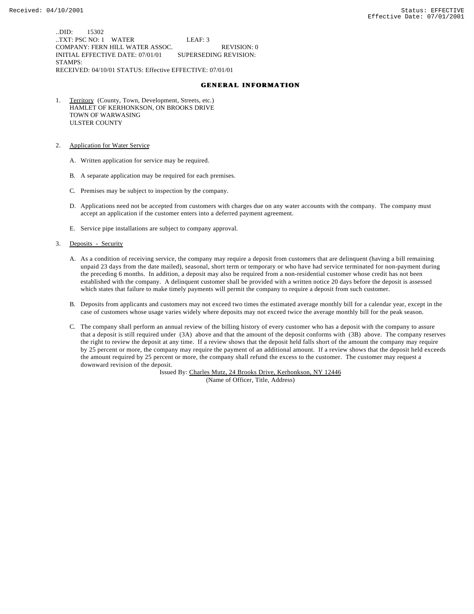..DID: 15302 ..TXT: PSC NO: 1 WATER LEAF: 3 COMPANY: FERN HILL WATER ASSOC. REVISION: 0 INITIAL EFFECTIVE DATE: 07/01/01 SUPERSEDING REVISION: STAMPS: RECEIVED: 04/10/01 STATUS: Effective EFFECTIVE: 07/01/01

#### **GENERAL INFORMATION**

- 1. Territory (County, Town, Development, Streets, etc.) HAMLET OF KERHONKSON, ON BROOKS DRIVE TOWN OF WARWASING ULSTER COUNTY
- 2. Application for Water Service
	- A. Written application for service may be required.
	- B. A separate application may be required for each premises.
	- C. Premises may be subject to inspection by the company.
	- D. Applications need not be accepted from customers with charges due on any water accounts with the company. The company must accept an application if the customer enters into a deferred payment agreement.
	- E. Service pipe installations are subject to company approval.
- 3. Deposits Security
	- A. As a condition of receiving service, the company may require a deposit from customers that are delinquent (having a bill remaining unpaid 23 days from the date mailed), seasonal, short term or temporary or who have had service terminated for non-payment during the preceding 6 months. In addition, a deposit may also be required from a non-residential customer whose credit has not been established with the company. A delinquent customer shall be provided with a written notice 20 days before the deposit is assessed which states that failure to make timely payments will permit the company to require a deposit from such customer.
	- B. Deposits from applicants and customers may not exceed two times the estimated average monthly bill for a calendar year, except in the case of customers whose usage varies widely where deposits may not exceed twice the average monthly bill for the peak season.
	- C. The company shall perform an annual review of the billing history of every customer who has a deposit with the company to assure that a deposit is still required under (3A) above and that the amount of the deposit conforms with (3B) above. The company reserves the right to review the deposit at any time. If a review shows that the deposit held falls short of the amount the company may require by 25 percent or more, the company may require the payment of an additional amount. If a review shows that the deposit held exceeds the amount required by 25 percent or more, the company shall refund the excess to the customer. The customer may request a downward revision of the deposit.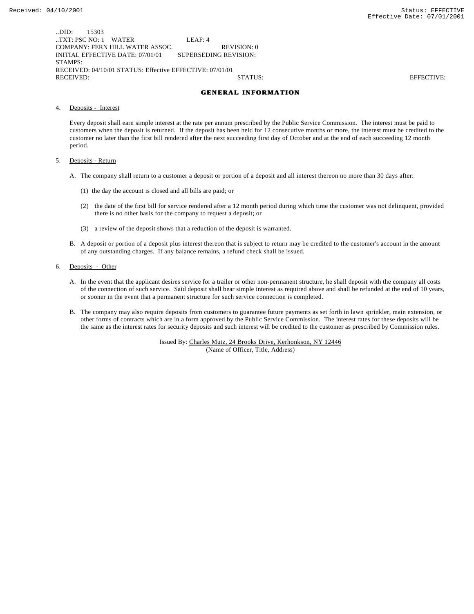..DID: 15303 ..TXT: PSC NO: 1 WATER LEAF: 4 COMPANY: FERN HILL WATER ASSOC. REVISION: 0 INITIAL EFFECTIVE DATE: 07/01/01 SUPERSEDING REVISION: STAMPS: RECEIVED: 04/10/01 STATUS: Effective EFFECTIVE: 07/01/01 RECEIVED: STATUS: EFFECTIVE:

#### **GENERAL INFORMATION**

4. Deposits - Interest

Every deposit shall earn simple interest at the rate per annum prescribed by the Public Service Commission. The interest must be paid to customers when the deposit is returned. If the deposit has been held for 12 consecutive months or more, the interest must be credited to the customer no later than the first bill rendered after the next succeeding first day of October and at the end of each succeeding 12 month period.

- 5. Deposits Return
	- A. The company shall return to a customer a deposit or portion of a deposit and all interest thereon no more than 30 days after:
		- (1) the day the account is closed and all bills are paid; or
		- (2) the date of the first bill for service rendered after a 12 month period during which time the customer was not delinquent, provided there is no other basis for the company to request a deposit; or
		- (3) a review of the deposit shows that a reduction of the deposit is warranted.
	- B. A deposit or portion of a deposit plus interest thereon that is subject to return may be credited to the customer's account in the amount of any outstanding charges. If any balance remains, a refund check shall be issued.
- 6. Deposits Other
	- A. In the event that the applicant desires service for a trailer or other non-permanent structure, he shall deposit with the company all costs of the connection of such service. Said deposit shall bear simple interest as required above and shall be refunded at the end of 10 years, or sooner in the event that a permanent structure for such service connection is completed.
	- B. The company may also require deposits from customers to guarantee future payments as set forth in lawn sprinkler, main extension, or other forms of contracts which are in a form approved by the Public Service Commission. The interest rates for these deposits will be the same as the interest rates for security deposits and such interest will be credited to the customer as prescribed by Commission rules.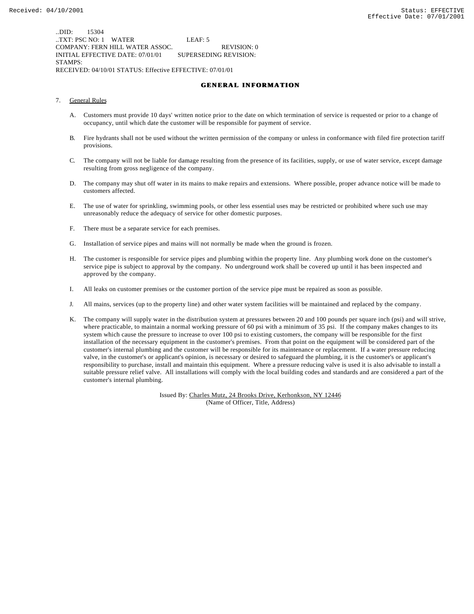..DID: 15304 ..TXT: PSC NO: 1 WATER LEAF: 5 COMPANY: FERN HILL WATER ASSOC. REVISION: 0 INITIAL EFFECTIVE DATE: 07/01/01 SUPERSEDING REVISION: STAMPS: RECEIVED: 04/10/01 STATUS: Effective EFFECTIVE: 07/01/01

#### **GENERAL INFORMATION**

- 7. General Rules
	- A. Customers must provide 10 days' written notice prior to the date on which termination of service is requested or prior to a change of occupancy, until which date the customer will be responsible for payment of service.
	- B. Fire hydrants shall not be used without the written permission of the company or unless in conformance with filed fire protection tariff provisions.
	- C. The company will not be liable for damage resulting from the presence of its facilities, supply, or use of water service, except damage resulting from gross negligence of the company.
	- D. The company may shut off water in its mains to make repairs and extensions. Where possible, proper advance notice will be made to customers affected.
	- E. The use of water for sprinkling, swimming pools, or other less essential uses may be restricted or prohibited where such use may unreasonably reduce the adequacy of service for other domestic purposes.
	- F. There must be a separate service for each premises.
	- G. Installation of service pipes and mains will not normally be made when the ground is frozen.
	- H. The customer is responsible for service pipes and plumbing within the property line. Any plumbing work done on the customer's service pipe is subject to approval by the company. No underground work shall be covered up until it has been inspected and approved by the company.
	- I. All leaks on customer premises or the customer portion of the service pipe must be repaired as soon as possible.
	- J. All mains, services (up to the property line) and other water system facilities will be maintained and replaced by the company.
	- K. The company will supply water in the distribution system at pressures between 20 and 100 pounds per square inch (psi) and will strive, where practicable, to maintain a normal working pressure of 60 psi with a minimum of 35 psi. If the company makes changes to its system which cause the pressure to increase to over 100 psi to existing customers, the company will be responsible for the first installation of the necessary equipment in the customer's premises. From that point on the equipment will be considered part of the customer's internal plumbing and the customer will be responsible for its maintenance or replacement. If a water pressure reducing valve, in the customer's or applicant's opinion, is necessary or desired to safeguard the plumbing, it is the customer's or applicant's responsibility to purchase, install and maintain this equipment. Where a pressure reducing valve is used it is also advisable to install a suitable pressure relief valve. All installations will comply with the local building codes and standards and are considered a part of the customer's internal plumbing.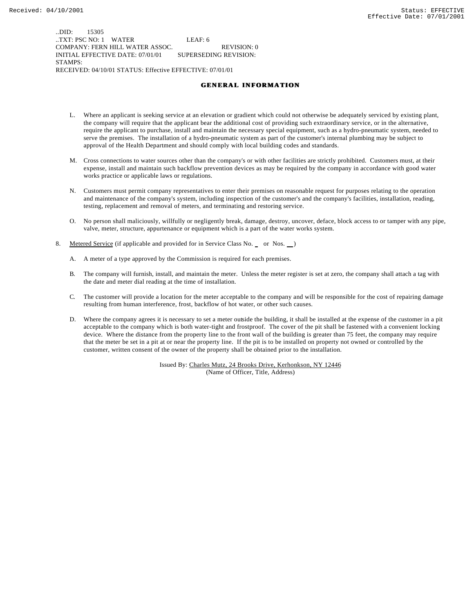..DID: 15305 ..TXT: PSC NO: 1 WATER LEAF: 6 COMPANY: FERN HILL WATER ASSOC. REVISION: 0 INITIAL EFFECTIVE DATE: 07/01/01 SUPERSEDING REVISION: STAMPS: RECEIVED: 04/10/01 STATUS: Effective EFFECTIVE: 07/01/01

#### **GENERAL INFORMATION**

- L. Where an applicant is seeking service at an elevation or gradient which could not otherwise be adequately serviced by existing plant, the company will require that the applicant bear the additional cost of providing such extraordinary service, or in the alternative, require the applicant to purchase, install and maintain the necessary special equipment, such as a hydro-pneumatic system, needed to serve the premises. The installation of a hydro-pneumatic system as part of the customer's internal plumbing may be subject to approval of the Health Department and should comply with local building codes and standards.
- M. Cross connections to water sources other than the company's or with other facilities are strictly prohibited. Customers must, at their expense, install and maintain such backflow prevention devices as may be required by the company in accordance with good water works practice or applicable laws or regulations.
- N. Customers must permit company representatives to enter their premises on reasonable request for purposes relating to the operation and maintenance of the company's system, including inspection of the customer's and the company's facilities, installation, reading, testing, replacement and removal of meters, and terminating and restoring service.
- O. No person shall maliciously, willfully or negligently break, damage, destroy, uncover, deface, block access to or tamper with any pipe, valve, meter, structure, appurtenance or equipment which is a part of the water works system.
- 8. Metered Service (if applicable and provided for in Service Class No. \_ or Nos. \_)
	- A. A meter of a type approved by the Commission is required for each premises.
	- B. The company will furnish, install, and maintain the meter. Unless the meter register is set at zero, the company shall attach a tag with the date and meter dial reading at the time of installation.
	- C. The customer will provide a location for the meter acceptable to the company and will be responsible for the cost of repairing damage resulting from human interference, frost, backflow of hot water, or other such causes.
	- D. Where the company agrees it is necessary to set a meter outside the building, it shall be installed at the expense of the customer in a pit acceptable to the company which is both water-tight and frostproof. The cover of the pit shall be fastened with a convenient locking device. Where the distance from the property line to the front wall of the building is greater than 75 feet, the company may require that the meter be set in a pit at or near the property line. If the pit is to be installed on property not owned or controlled by the customer, written consent of the owner of the property shall be obtained prior to the installation.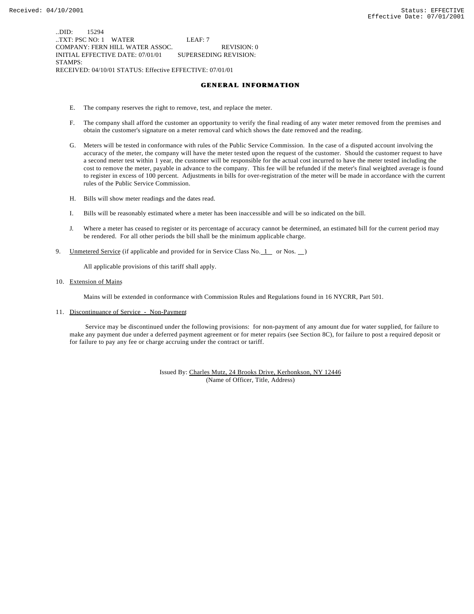..DID: 15294 ..TXT: PSC NO: 1 WATER LEAF: 7 COMPANY: FERN HILL WATER ASSOC. REVISION: 0 INITIAL EFFECTIVE DATE: 07/01/01 SUPERSEDING REVISION: STAMPS: RECEIVED: 04/10/01 STATUS: Effective EFFECTIVE: 07/01/01

#### **GENERAL INFORMATION**

- E. The company reserves the right to remove, test, and replace the meter.
- F. The company shall afford the customer an opportunity to verify the final reading of any water meter removed from the premises and obtain the customer's signature on a meter removal card which shows the date removed and the reading.
- G. Meters will be tested in conformance with rules of the Public Service Commission. In the case of a disputed account involving the accuracy of the meter, the company will have the meter tested upon the request of the customer. Should the customer request to have a second meter test within 1 year, the customer will be responsible for the actual cost incurred to have the meter tested including the cost to remove the meter, payable in advance to the company. This fee will be refunded if the meter's final weighted average is found to register in excess of 100 percent. Adjustments in bills for over-registration of the meter will be made in accordance with the current rules of the Public Service Commission.
- H. Bills will show meter readings and the dates read.
- I. Bills will be reasonably estimated where a meter has been inaccessible and will be so indicated on the bill.
- J. Where a meter has ceased to register or its percentage of accuracy cannot be determined, an estimated bill for the current period may be rendered. For all other periods the bill shall be the minimum applicable charge.
- 9. Unmetered Service (if applicable and provided for in Service Class No.  $1$  or Nos.  $)$

All applicable provisions of this tariff shall apply.

10. Extension of Mains

Mains will be extended in conformance with Commission Rules and Regulations found in 16 NYCRR, Part 501.

11. Discontinuance of Service - Non-Payment

 Service may be discontinued under the following provisions: for non-payment of any amount due for water supplied, for failure to make any payment due under a deferred payment agreement or for meter repairs (see Section 8C), for failure to post a required deposit or for failure to pay any fee or charge accruing under the contract or tariff.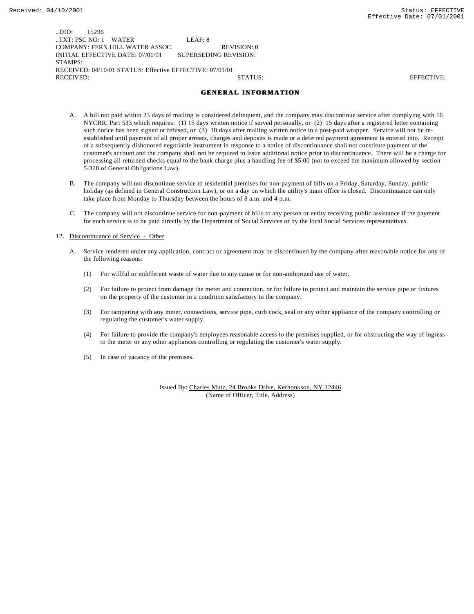..DID: 15296 ..TXT: PSC NO: 1 WATER LEAF: 8 COMPANY: FERN HILL WATER ASSOC. REVISION: 0 INITIAL EFFECTIVE DATE: 07/01/01 SUPERSEDING REVISION: STAMPS: RECEIVED: 04/10/01 STATUS: Effective EFFECTIVE: 07/01/01 RECEIVED: STATUS: EFFECTIVE:

#### **GENERAL INFORMATION**

- A. A bill not paid within 23 days of mailing is considered delinquent, and the company may discontinue service after complying with 16 NYCRR, Part 533 which requires: (1) 15 days written notice if served personally, or (2) 15 days after a registered letter containing such notice has been signed or refused, or (3) 18 days after mailing written notice in a post-paid wrapper. Service will not be reestablished until payment of all proper arrears, charges and deposits is made or a deferred payment agreement is entered into. Receipt of a subsequently dishonored negotiable instrument in response to a notice of discontinuance shall not constitute payment of the customer's account and the company shall not be required to issue additional notice prior to discontinuance. There will be a charge for processing all returned checks equal to the bank charge plus a handling fee of \$5.00 (not to exceed the maximum allowed by section 5-328 of General Obligations Law).
- B. The company will not discontinue service to residential premises for non-payment of bills on a Friday, Saturday, Sunday, public holiday (as defined in General Construction Law), or on a day on which the utility's main office is closed. Discontinuance can only take place from Monday to Thursday between the hours of 8 a.m. and 4 p.m.
- C. The company will not discontinue service for non-payment of bills to any person or entity receiving public assistance if the payment for such service is to be paid directly by the Department of Social Services or by the local Social Services representatives.

#### 12. Discontinuance of Service - Other

- A. Service rendered under any application, contract or agreement may be discontinued by the company after reasonable notice for any of the following reasons:
	- (1) For willful or indifferent waste of water due to any cause or for non-authorized use of water.
	- (2) For failure to protect from damage the meter and connection, or for failure to protect and maintain the service pipe or fixtures on the property of the customer in a condition satisfactory to the company.
	- (3) For tampering with any meter, connections, service pipe, curb cock, seal or any other appliance of the company controlling or regulating the customer's water supply.
	- (4) For failure to provide the company's employees reasonable access to the premises supplied, or for obstructing the way of ingress to the meter or any other appliances controlling or regulating the customer's water supply.
	- (5) In case of vacancy of the premises.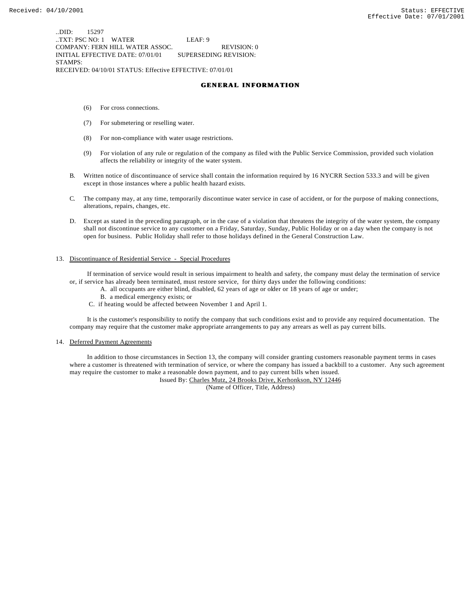..DID: 15297 ..TXT: PSC NO: 1 WATER LEAF: 9 COMPANY: FERN HILL WATER ASSOC. REVISION: 0 INITIAL EFFECTIVE DATE: 07/01/01 SUPERSEDING REVISION: STAMPS: RECEIVED: 04/10/01 STATUS: Effective EFFECTIVE: 07/01/01

#### **GENERAL INFORMATION**

- (6) For cross connections.
- (7) For submetering or reselling water.
- (8) For non-compliance with water usage restrictions.
- (9) For violation of any rule or regulation of the company as filed with the Public Service Commission, provided such violation affects the reliability or integrity of the water system.
- B. Written notice of discontinuance of service shall contain the information required by 16 NYCRR Section 533.3 and will be given except in those instances where a public health hazard exists.
- C. The company may, at any time, temporarily discontinue water service in case of accident, or for the purpose of making connections, alterations, repairs, changes, etc.
- D. Except as stated in the preceding paragraph, or in the case of a violation that threatens the integrity of the water system, the company shall not discontinue service to any customer on a Friday, Saturday, Sunday, Public Holiday or on a day when the company is not open for business. Public Holiday shall refer to those holidays defined in the General Construction Law.

#### 13. Discontinuance of Residential Service - Special Procedures

 If termination of service would result in serious impairment to health and safety, the company must delay the termination of service or, if service has already been terminated, must restore service, for thirty days under the following conditions:

- A. all occupants are either blind, disabled, 62 years of age or older or 18 years of age or under;
	- B. a medical emergency exists; or
- C. if heating would be affected between November 1 and April 1.

 It is the customer's responsibility to notify the company that such conditions exist and to provide any required documentation. The company may require that the customer make appropriate arrangements to pay any arrears as well as pay current bills.

#### 14. Deferred Payment Agreements

 In addition to those circumstances in Section 13, the company will consider granting customers reasonable payment terms in cases where a customer is threatened with termination of service, or where the company has issued a backbill to a customer. Any such agreement may require the customer to make a reasonable down payment, and to pay current bills when issued.

Issued By: Charles Mutz, 24 Brooks Drive, Kerhonkson, NY 12446

(Name of Officer, Title, Address)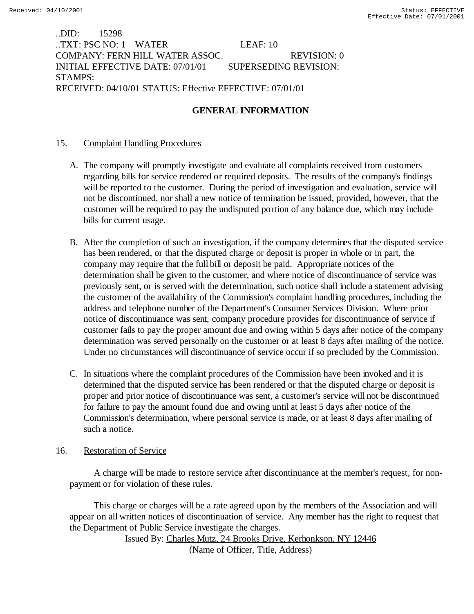..DID: 15298 ..TXT: PSC NO: 1 WATER LEAF: 10 COMPANY: FERN HILL WATER ASSOC. REVISION: 0 INITIAL EFFECTIVE DATE: 07/01/01 SUPERSEDING REVISION: STAMPS: RECEIVED: 04/10/01 STATUS: Effective EFFECTIVE: 07/01/01

## **GENERAL INFORMATION**

## 15. Complaint Handling Procedures

- A. The company will promptly investigate and evaluate all complaints received from customers regarding bills for service rendered or required deposits. The results of the company's findings will be reported to the customer. During the period of investigation and evaluation, service will not be discontinued, nor shall a new notice of termination be issued, provided, however, that the customer will be required to pay the undisputed portion of any balance due, which may include bills for current usage.
- B. After the completion of such an investigation, if the company determines that the disputed service has been rendered, or that the disputed charge or deposit is proper in whole or in part, the company may require that the full bill or deposit be paid. Appropriate notices of the determination shall be given to the customer, and where notice of discontinuance of service was previously sent, or is served with the determination, such notice shall include a statement advising the customer of the availability of the Commission's complaint handling procedures, including the address and telephone number of the Department's Consumer Services Division. Where prior notice of discontinuance was sent, company procedure provides for discontinuance of service if customer fails to pay the proper amount due and owing within 5 days after notice of the company determination was served personally on the customer or at least 8 days after mailing of the notice. Under no circumstances will discontinuance of service occur if so precluded by the Commission.
- C. In situations where the complaint procedures of the Commission have been invoked and it is determined that the disputed service has been rendered or that the disputed charge or deposit is proper and prior notice of discontinuance was sent, a customer's service will not be discontinued for failure to pay the amount found due and owing until at least 5 days after notice of the Commission's determination, where personal service is made, or at least 8 days after mailing of such a notice.

## 16. Restoration of Service

 A charge will be made to restore service after discontinuance at the member's request, for nonpayment or for violation of these rules.

 This charge or charges will be a rate agreed upon by the members of the Association and will appear on all written notices of discontinuation of service. Any member has the right to request that the Department of Public Service investigate the charges.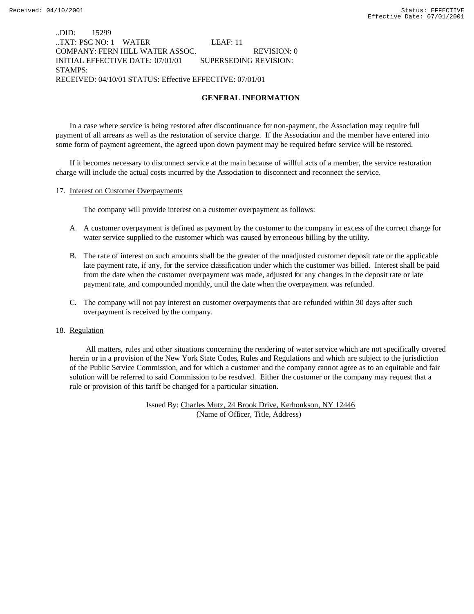## ..DID: 15299 ..TXT: PSC NO: 1 WATER LEAF: 11 COMPANY: FERN HILL WATER ASSOC. REVISION: 0 INITIAL EFFECTIVE DATE: 07/01/01 SUPERSEDING REVISION: STAMPS: RECEIVED: 04/10/01 STATUS: Effective EFFECTIVE: 07/01/01

## **GENERAL INFORMATION**

In a case where service is being restored after discontinuance for non-payment, the Association may require full payment of all arrears as well as the restoration of service charge. If the Association and the member have entered into some form of payment agreement, the agreed upon down payment may be required before service will be restored.

If it becomes necessary to disconnect service at the main because of willful acts of a member, the service restoration charge will include the actual costs incurred by the Association to disconnect and reconnect the service.

#### 17. Interest on Customer Overpayments

The company will provide interest on a customer overpayment as follows:

- A. A customer overpayment is defined as payment by the customer to the company in excess of the correct charge for water service supplied to the customer which was caused by erroneous billing by the utility.
- B. The rate of interest on such amounts shall be the greater of the unadjusted customer deposit rate or the applicable late payment rate, if any, for the service classification under which the customer was billed. Interest shall be paid from the date when the customer overpayment was made, adjusted for any changes in the deposit rate or late payment rate, and compounded monthly, until the date when the overpayment was refunded.
- C. The company will not pay interest on customer overpayments that are refunded within 30 days after such overpayment is received by the company.

#### 18. Regulation

 All matters, rules and other situations concerning the rendering of water service which are not specifically covered herein or in a provision of the New York State Codes, Rules and Regulations and which are subject to the jurisdiction of the Public Service Commission, and for which a customer and the company cannot agree as to an equitable and fair solution will be referred to said Commission to be resolved. Either the customer or the company may request that a rule or provision of this tariff be changed for a particular situation.